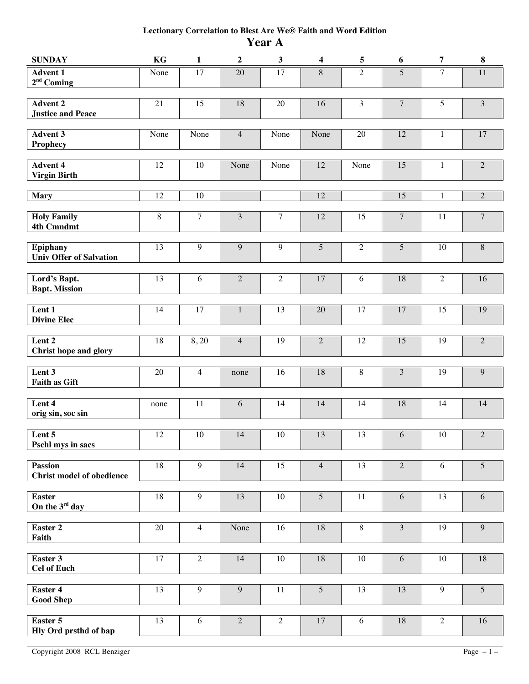## **Lectionary Correlation to Blest Are We® Faith and Word Edition Year A**

| <b>SUNDAY</b>                                      | KG              | $\mathbf{1}$   | $\boldsymbol{2}$ | $\mathbf{3}$    | $\overline{\mathbf{4}}$ | 5              | 6                | $\boldsymbol{7}$ | $\bf 8$          |
|----------------------------------------------------|-----------------|----------------|------------------|-----------------|-------------------------|----------------|------------------|------------------|------------------|
| <b>Advent 1</b><br>$2nd$ Coming                    | None            | 17             | 20               | 17              | 8                       | $\overline{2}$ | 5                | $\overline{7}$   | 11               |
| <b>Advent 2</b><br><b>Justice and Peace</b>        | 21              | 15             | 18               | $20\,$          | 16                      | 3              | $\boldsymbol{7}$ | 5                | $\mathfrak{Z}$   |
| <b>Advent 3</b><br>Prophecy                        | None            | None           | $\overline{4}$   | None            | None                    | $20\,$         | 12               | $\mathbf{1}$     | $17\,$           |
| <b>Advent 4</b><br><b>Virgin Birth</b>             | 12              | $10\,$         | None             | None            | 12                      | None           | 15               | 1                | $\sqrt{2}$       |
| <b>Mary</b>                                        | 12              | $10\,$         |                  |                 | 12                      |                | 15               | 1                | $\sqrt{2}$       |
| <b>Holy Family</b><br><b>4th Cmndmt</b>            | $8\,$           | $\tau$         | $\mathfrak{Z}$   | $\overline{7}$  | 12                      | 15             | $\boldsymbol{7}$ | 11               | $\overline{7}$   |
| <b>Epiphany</b><br><b>Univ Offer of Salvation</b>  | 13              | 9              | 9                | 9               | $\overline{5}$          | $\sqrt{2}$     | 5                | 10               | $\,8\,$          |
| Lord's Bapt.<br><b>Bapt. Mission</b>               | 13              | 6              | $\overline{2}$   | $\overline{2}$  | 17                      | 6              | 18               | $\overline{2}$   | 16               |
| Lent 1<br><b>Divine Elec</b>                       | 14              | 17             | $\mathbf 1$      | $\overline{13}$ | $20\,$                  | 17             | 17               | 15               | 19               |
| Lent <sub>2</sub><br><b>Christ hope and glory</b>  | 18              | 8,20           | $\overline{4}$   | 19              | $\overline{2}$          | 12             | 15               | 19               | $\overline{2}$   |
| Lent 3<br><b>Faith as Gift</b>                     | $20\,$          | $\overline{4}$ | none             | 16              | 18                      | $\,8\,$        | 3                | 19               | $\boldsymbol{9}$ |
| Lent 4<br>orig sin, soc sin                        | none            | 11             | 6                | 14              | 14                      | 14             | 18               | 14               | 14               |
| Lent 5<br>Pschl mys in sacs                        | 12              | 10             | 14               | 10              | 13                      | 13             | 6                | 10               | $\overline{2}$   |
| <b>Passion</b><br><b>Christ model of obedience</b> | 18              | 9              | 14               | 15              | $\overline{4}$          | 13             | 2                | 6                | 5                |
| <b>Easter</b><br>On the 3rd day                    | 18              | 9              | 13               | 10              | $\overline{5}$          | 11             | 6                | 13               | 6                |
| Easter 2<br>Faith                                  | 20              | $\overline{4}$ | None             | 16              | 18                      | 8              | $\overline{3}$   | 19               | 9                |
| Easter 3<br><b>Cel of Euch</b>                     | 17              | $\overline{2}$ | 14               | 10              | 18                      | 10             | 6                | 10               | 18               |
| <b>Easter 4</b><br><b>Good Shep</b>                | 13              | $\overline{9}$ | 9                | 11              | $\overline{5}$          | 13             | 13               | 9                | $\overline{5}$   |
| Easter 5<br>Hly Ord prsthd of bap                  | $\overline{13}$ | 6              | $\overline{2}$   | $\overline{2}$  | 17                      | 6              | 18               | $\overline{2}$   | 16               |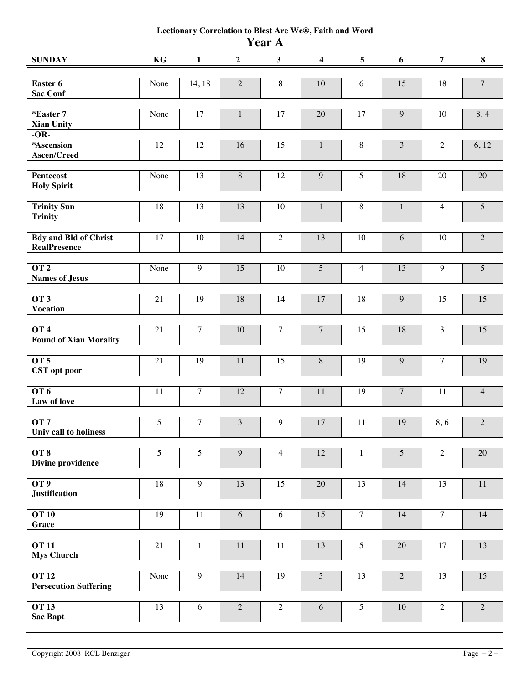## **Lectionary Correlation to Blest Are We®, Faith and Word Year A**

| <b>SUNDAY</b>                                       | KG   | $\mathbf{1}$   | $\boldsymbol{2}$ | $\mathbf{3}$   | $\boldsymbol{4}$ | $\overline{5}$ | 6              | $\overline{7}$ | $\bf{8}$       |
|-----------------------------------------------------|------|----------------|------------------|----------------|------------------|----------------|----------------|----------------|----------------|
| Easter 6<br><b>Sac Conf</b>                         | None | 14, 18         | $\sqrt{2}$       | $8\,$          | 10               | 6              | 15             | 18             | $\overline{7}$ |
| *Easter 7<br><b>Xian Unity</b>                      | None | $17\,$         | $\mathbf{1}$     | $17\,$         | $20\,$           | 17             | 9              | 10             | 8,4            |
| $-OR-$<br>*Ascension<br>Ascen/Creed                 | 12   | 12             | 16               | 15             | $\mathbf{1}$     | $\,8\,$        | $\overline{3}$ | $\sqrt{2}$     | 6,12           |
| <b>Pentecost</b><br><b>Holy Spirit</b>              | None | 13             | $8\,$            | 12             | $\boldsymbol{9}$ | $\overline{5}$ | 18             | 20             | $20\,$         |
| <b>Trinity Sun</b><br><b>Trinity</b>                | 18   | 13             | 13               | 10             | $\mathbf{1}$     | $\,8\,$        | $\mathbf{1}$   | $\overline{4}$ | $\overline{5}$ |
| <b>Bdy and Bld of Christ</b><br><b>RealPresence</b> | 17   | $10\,$         | 14               | $\overline{2}$ | 13               | $10\,$         | 6              | 10             | $\sqrt{2}$     |
| OT <sub>2</sub><br><b>Names of Jesus</b>            | None | $\overline{9}$ | 15               | $10\,$         | $\overline{5}$   | $\overline{4}$ | 13             | $\overline{9}$ | $\overline{5}$ |
| OT <sub>3</sub><br><b>Vocation</b>                  | 21   | 19             | 18               | 14             | 17               | 18             | 9              | 15             | 15             |
| OT <sub>4</sub><br><b>Found of Xian Morality</b>    | 21   | $\overline{7}$ | 10               | $\overline{7}$ | $\overline{7}$   | 15             | 18             | $\overline{3}$ | 15             |
| OT <sub>5</sub><br>CST opt poor                     | 21   | 19             | 11               | 15             | $\,8\,$          | 19             | 9              | $\tau$         | 19             |
| OT6<br>Law of love                                  | 11   | $\overline{7}$ | 12               | $\overline{7}$ | 11               | 19             | $\overline{7}$ | 11             | $\overline{4}$ |
| OT7<br>Univ call to holiness                        | 5    | $\tau$         | $\mathfrak{Z}$   | 9              | $17\,$           | 11             | 19             | 8,6            | $\sqrt{2}$     |
| OT <sub>8</sub><br><b>Divine providence</b>         | 5    | 5              | 9                | $\overline{4}$ | 12               | $\mathbf{1}$   | $\overline{5}$ | $\overline{2}$ | 20             |
| OT <sub>9</sub><br><b>Justification</b>             | 18   | $\overline{9}$ | 13               | 15             | 20               | 13             | 14             | 13             | 11             |
| <b>OT 10</b><br><b>Grace</b>                        | 19   | 11             | 6                | 6              | 15               | $\overline{7}$ | 14             | $\overline{7}$ | 14             |
| <b>OT 11</b><br><b>Mys Church</b>                   | 21   | $\mathbf{1}$   | 11               | 11             | 13               | 5              | 20             | 17             | 13             |
| <b>OT 12</b><br><b>Persecution Suffering</b>        | None | 9              | 14               | 19             | $\overline{5}$   | 13             | $\overline{2}$ | 13             | 15             |
| <b>OT 13</b><br><b>Sac Bapt</b>                     | 13   | 6              | $\overline{2}$   | $\overline{2}$ | 6                | 5              | $10\,$         | $\overline{2}$ | $\overline{2}$ |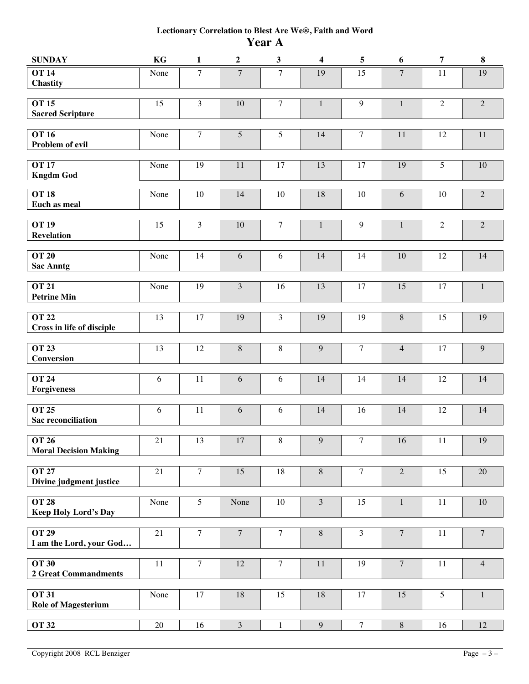## **Lectionary Correlation to Blest Are We®, Faith and Word Year A**

| <b>SUNDAY</b>                                | KG              | $\mathbf{1}$   | $\overline{2}$  | $\mathbf{3}$   | $\overline{\mathbf{4}}$ | $\overline{\mathbf{5}}$ | 6              | $\overline{7}$  | 8              |
|----------------------------------------------|-----------------|----------------|-----------------|----------------|-------------------------|-------------------------|----------------|-----------------|----------------|
| <b>OT 14</b><br><b>Chastity</b>              | None            | $\overline{7}$ | $\overline{7}$  | $\overline{7}$ | $\overline{19}$         | 15                      | $\overline{7}$ | 11              | 19             |
| <b>OT 15</b><br><b>Sacred Scripture</b>      | 15              | 3              | $10\,$          | $\overline{7}$ | $\mathbf{1}$            | $\overline{9}$          | $\mathbf{1}$   | $\sqrt{2}$      | $\sqrt{2}$     |
| <b>OT 16</b><br>Problem of evil              | None            | $\tau$         | $\overline{5}$  | $\overline{5}$ | 14                      | $\overline{7}$          | 11             | 12              | $11\,$         |
| <b>OT 17</b><br><b>Kngdm God</b>             | None            | 19             | $11\,$          | 17             | 13                      | 17                      | 19             | $\overline{5}$  | $10\,$         |
| <b>OT 18</b><br>Euch as meal                 | None            | 10             | 14              | 10             | 18                      | 10                      | 6              | 10              | $\overline{2}$ |
| <b>OT 19</b><br><b>Revelation</b>            | 15              | $\overline{3}$ | 10              | $\overline{7}$ | $\mathbf{1}$            | $\overline{9}$          | $\mathbf{1}$   | $\overline{2}$  | $\overline{2}$ |
| <b>OT 20</b><br><b>Sac Anntg</b>             | None            | 14             | 6               | 6              | 14                      | 14                      | $10\,$         | 12              | 14             |
| <b>OT 21</b><br><b>Petrine Min</b>           | None            | 19             | $\overline{3}$  | 16             | 13                      | 17                      | 15             | $17\,$          | $1\,$          |
| <b>OT 22</b><br>Cross in life of disciple    | 13              | 17             | 19              | $\mathfrak{Z}$ | 19                      | 19                      | $\, 8$         | 15              | 19             |
| <b>OT 23</b><br>Conversion                   | 13              | 12             | $8\,$           | $\,8\,$        | 9                       | $\overline{7}$          | $\overline{4}$ | $17\,$          | $\overline{9}$ |
| <b>OT 24</b><br><b>Forgiveness</b>           | 6               | 11             | 6               | $\sqrt{6}$     | 14                      | 14                      | 14             | 12              | 14             |
| <b>OT 25</b><br><b>Sac reconciliation</b>    | 6               | 11             | $\sqrt{6}$      | 6              | 14                      | 16                      | 14             | 12              | 14             |
| <b>OT 26</b><br><b>Moral Decision Making</b> | $21\,$          | 13             | $17\,$          | 8              | $\overline{9}$          | $\overline{7}$          | 16             | $11\,$          | $19\,$         |
| <b>OT 27</b><br>Divine judgment justice      | $21\,$          | $\tau$         | 15              | $18\,$         | $\,8\,$                 | $\overline{7}$          | $\overline{2}$ | 15              | $20\,$         |
| <b>OT 28</b><br><b>Keep Holy Lord's Day</b>  | None            | 5              | None            | 10             | $\overline{\mathbf{3}}$ | 15                      | $\mathbf{1}$   | 11              | $10\,$         |
| <b>OT 29</b><br>I am the Lord, your God      | $21\,$          | $\overline{7}$ | $\overline{7}$  | $\overline{7}$ | $\overline{8}$          | $\overline{\mathbf{3}}$ | $\overline{7}$ | 11              | $\overline{7}$ |
| <b>OT 30</b><br><b>2 Great Commandments</b>  | $\overline{11}$ | $\overline{7}$ | $\overline{12}$ | $\overline{7}$ | $\overline{11}$         | $\overline{19}$         | $\overline{7}$ | $\overline{11}$ | $\overline{4}$ |
| <b>OT 31</b><br><b>Role of Magesterium</b>   | None            | $17\,$         | $18\,$          | 15             | $18\,$                  | 17                      | 15             | 5               | $\mathbf{1}$   |
| <b>OT 32</b>                                 | $20\,$          | 16             | $\overline{3}$  | $\mathbf{1}$   | $\overline{9}$          | $\overline{7}$          | $8\,$          | 16              | 12             |